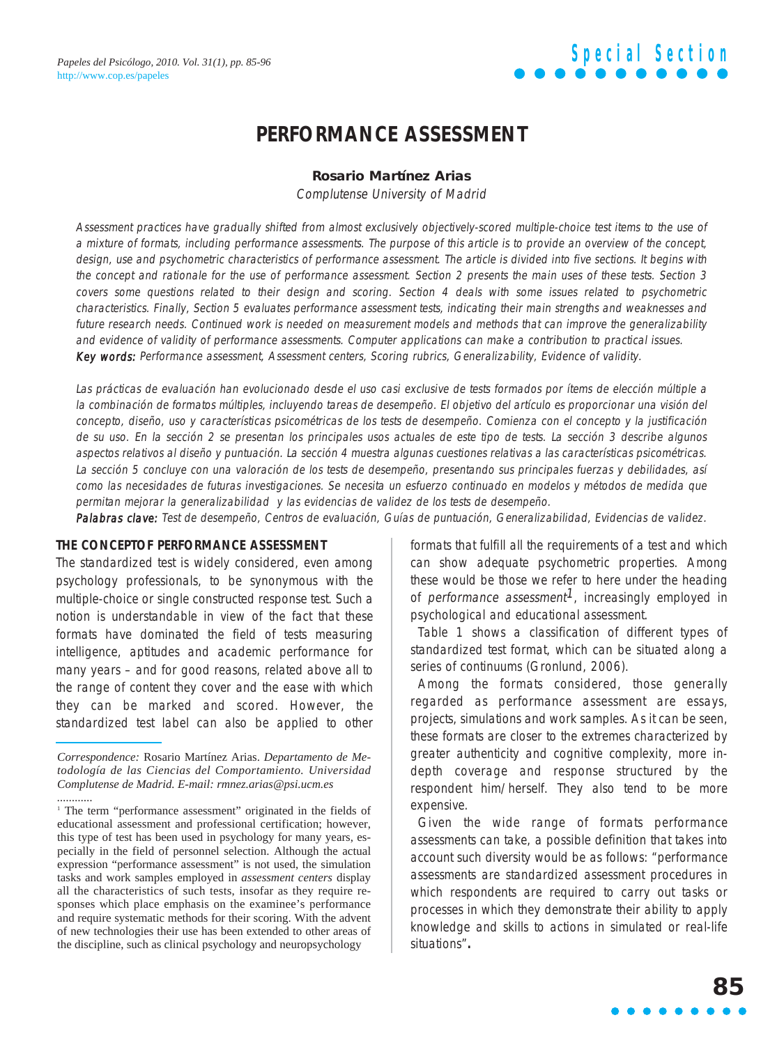### **PERFORMANCE ASSESSMENT**

#### **Rosario Martínez Arias**

Complutense University of Madrid

Assessment practices have gradually shifted from almost exclusively objectively-scored multiple-choice test items to the use of a mixture of formats, including performance assessments. The purpose of this article is to provide an overview of the concept, design, use and psychometric characteristics of performance assessment. The article is divided into five sections. It begins with the concept and rationale for the use of performance assessment. Section 2 presents the main uses of these tests. Section 3 covers some questions related to their design and scoring. Section 4 deals with some issues related to psychometric characteristics. Finally, Section 5 evaluates performance assessment tests, indicating their main strengths and weaknesses and future research needs. Continued work is needed on measurement models and methods that can improve the generalizability and evidence of validity of performance assessments. Computer applications can make a contribution to practical issues. Key words: Performance assessment, Assessment centers, Scoring rubrics, Generalizability, Evidence of validity.

Las prácticas de evaluación han evolucionado desde el uso casi exclusive de tests formados por ítems de elección múltiple a la combinación de formatos múltiples, incluyendo tareas de desempeño. El objetivo del artículo es proporcionar una visión del concepto, diseño, uso y características psicométricas de los tests de desempeño. Comienza con el concepto y la justificación de su uso. En la sección 2 se presentan los principales usos actuales de este tipo de tests. La sección 3 describe algunos aspectos relativos al diseño y puntuación. La sección 4 muestra algunas cuestiones relativas a las características psicométricas. La sección 5 concluye con una valoración de los tests de desempeño, presentando sus principales fuerzas y debilidades, así como las necesidades de futuras investigaciones. Se necesita un esfuerzo continuado en modelos y métodos de medida que permitan mejorar la generalizabilidad y las evidencias de validez de los tests de desempeño.

Palabras clave: Test de desempeño, Centros de evaluación, Guías de puntuación, Generalizabilidad, Evidencias de validez.

#### **THE CONCEPTOF PERFORMANCE ASSESSMENT**

The standardized test is widely considered, even among psychology professionals, to be synonymous with the multiple-choice or single constructed response test. Such a notion is understandable in view of the fact that these formats have dominated the field of tests measuring intelligence, aptitudes and academic performance for many years – and for good reasons, related above all to the range of content they cover and the ease with which they can be marked and scored. However, the standardized test label can also be applied to other formats that fulfill all the requirements of a test and which can show adequate psychometric properties. Among these would be those we refer to here under the heading of performance assessment<sup>1</sup>, increasingly employed in psychological and educational assessment.

Table 1 shows a classification of different types of standardized test format, which can be situated along a series of continuums (Gronlund, 2006).

Among the formats considered, those generally regarded as performance assessment are essays, projects, simulations and work samples. As it can be seen, these formats are closer to the extremes characterized by greater authenticity and cognitive complexity, more indepth coverage and response structured by the respondent him/herself. They also tend to be more expensive.

Given the wide range of formats performance assessments can take, a possible definition that takes into account such diversity would be as follows: "performance assessments are standardized assessment procedures in which respondents are required to carry out tasks or processes in which they demonstrate their ability to apply knowledge and skills to actions in simulated or real-life situations"**.**

*Correspondence:* Rosario Martínez Arias. *Departamento de Metodología de las Ciencias del Comportamiento. Universidad Complutense de Madrid. E-mail: rmnez.arias@psi.ucm.es ............*

<sup>&</sup>lt;sup>1</sup> The term "performance assessment" originated in the fields of educational assessment and professional certification; however, this type of test has been used in psychology for many years, especially in the field of personnel selection. Although the actual expression "performance assessment" is not used, the simulation tasks and work samples employed in *assessment centers* display all the characteristics of such tests, insofar as they require responses which place emphasis on the examinee's performance and require systematic methods for their scoring. With the advent of new technologies their use has been extended to other areas of the discipline, such as clinical psychology and neuropsychology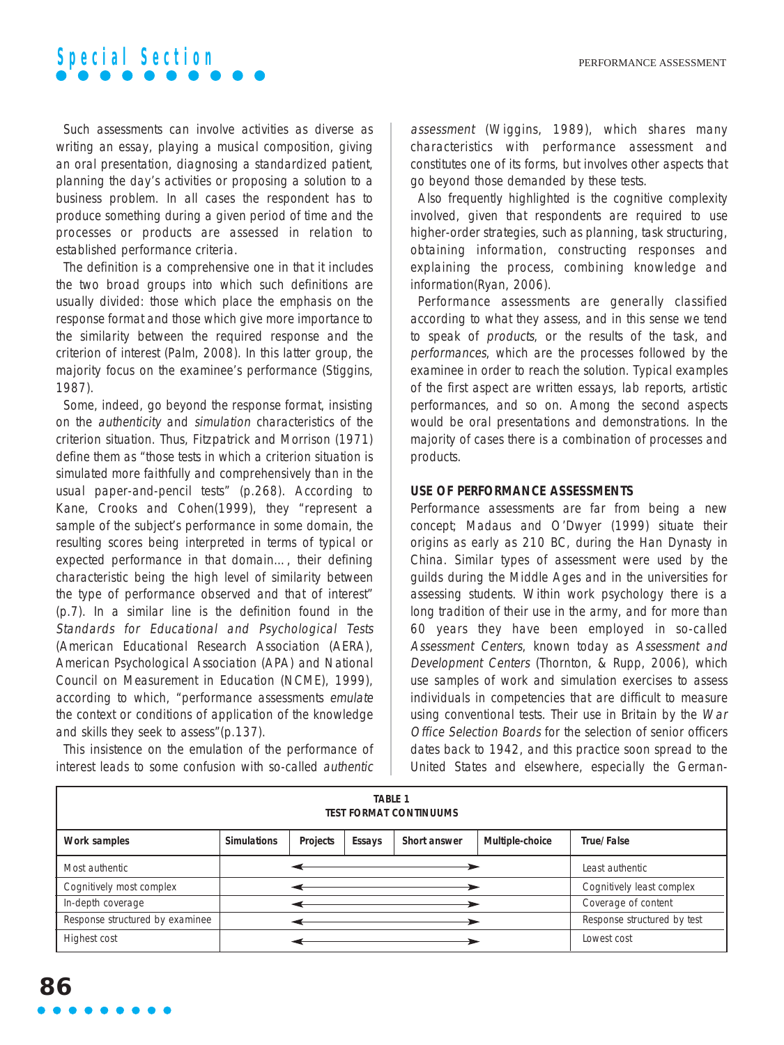Such assessments can involve activities as diverse as writing an essay, playing a musical composition, giving an oral presentation, diagnosing a standardized patient, planning the day's activities or proposing a solution to a business problem. In all cases the respondent has to produce something during a given period of time and the processes or products are assessed in relation to established performance criteria.

The definition is a comprehensive one in that it includes the two broad groups into which such definitions are usually divided: those which place the emphasis on the response format and those which give more importance to the similarity between the required response and the criterion of interest (Palm, 2008). In this latter group, the majority focus on the examinee's performance (Stiggins, 1987).

Some, indeed, go beyond the response format, insisting on the authenticity and simulation characteristics of the criterion situation. Thus, Fitzpatrick and Morrison (1971) define them as "those tests in which a criterion situation is simulated more faithfully and comprehensively than in the usual paper-and-pencil tests" (p.268). According to Kane, Crooks and Cohen(1999), they "represent a sample of the subject's performance in some domain, the resulting scores being interpreted in terms of typical or expected performance in that domain…, their defining characteristic being the high level of similarity between the type of performance observed and that of interest" (p.7). In a similar line is the definition found in the Standards for Educational and Psychological Tests (American Educational Research Association (AERA), American Psychological Association (APA) and National Council on Measurement in Education (NCME), 1999), according to which, "performance assessments emulate the context or conditions of application of the knowledge and skills they seek to assess"(p.137).

This insistence on the emulation of the performance of interest leads to some confusion with so-called authentic assessment (Wiggins, 1989), which shares many characteristics with performance assessment and constitutes one of its forms, but involves other aspects that go beyond those demanded by these tests.

Also frequently highlighted is the cognitive complexity involved, given that respondents are required to use higher-order strategies, such as planning, task structuring, obtaining information, constructing responses and explaining the process, combining knowledge and information(Ryan, 2006).

Performance assessments are generally classified according to what they assess, and in this sense we tend to speak of products, or the results of the task, and performances, which are the processes followed by the examinee in order to reach the solution. Typical examples of the first aspect are written essays, lab reports, artistic performances, and so on. Among the second aspects would be oral presentations and demonstrations. In the majority of cases there is a combination of processes and products.

#### **USE OF PERFORMANCE ASSESSMENTS**

Performance assessments are far from being a new concept; Madaus and O'Dwyer (1999) situate their origins as early as 210 BC, during the Han Dynasty in China. Similar types of assessment were used by the guilds during the Middle Ages and in the universities for assessing students. Within work psychology there is a long tradition of their use in the army, and for more than 60 years they have been employed in so-called Assessment Centers, known today as Assessment and Development Centers (Thornton, & Rupp, 2006), which use samples of work and simulation exercises to assess individuals in competencies that are difficult to measure using conventional tests. Their use in Britain by the War Office Selection Boards for the selection of senior officers dates back to 1942, and this practice soon spread to the United States and elsewhere, especially the German-

| <b>TABLE 1</b><br><b>TEST FORMAT CONTINUUMS</b> |                    |          |        |              |                 |                             |
|-------------------------------------------------|--------------------|----------|--------|--------------|-----------------|-----------------------------|
| Work samples                                    | <b>Simulations</b> | Projects | Essays | Short answer | Multiple-choice | True/False                  |
| Most authentic                                  |                    |          |        |              |                 | Least authentic             |
| Cognitively most complex                        |                    |          |        |              |                 | Cognitively least complex   |
| In-depth coverage                               |                    |          |        |              |                 | Coverage of content         |
| Response structured by examinee                 |                    |          |        |              |                 | Response structured by test |
| Highest cost                                    |                    |          |        |              |                 | Lowest cost                 |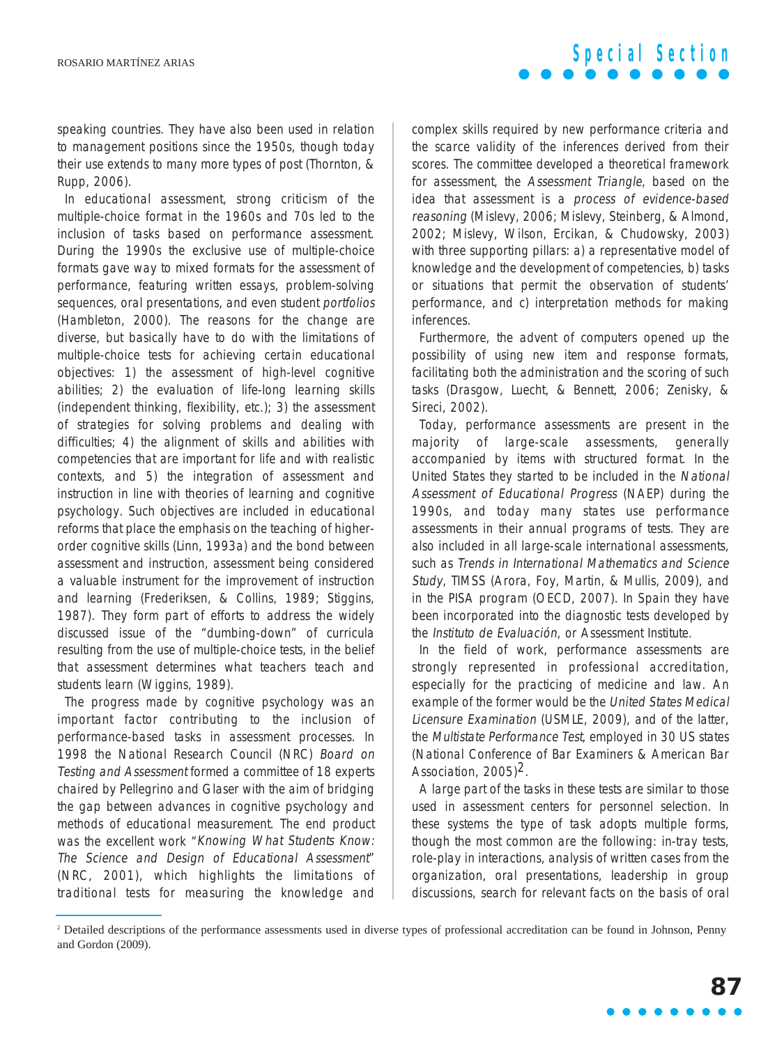speaking countries. They have also been used in relation to management positions since the 1950s, though today their use extends to many more types of post (Thornton, & Rupp, 2006).

In educational assessment, strong criticism of the multiple-choice format in the 1960s and 70s led to the inclusion of tasks based on performance assessment. During the 1990s the exclusive use of multiple-choice formats gave way to mixed formats for the assessment of performance, featuring written essays, problem-solving sequences, oral presentations, and even student portfolios (Hambleton, 2000). The reasons for the change are diverse, but basically have to do with the limitations of multiple-choice tests for achieving certain educational objectives: 1) the assessment of high-level cognitive abilities; 2) the evaluation of life-long learning skills (independent thinking, flexibility, etc.); 3) the assessment of strategies for solving problems and dealing with difficulties; 4) the alignment of skills and abilities with competencies that are important for life and with realistic contexts, and 5) the integration of assessment and instruction in line with theories of learning and cognitive psychology. Such objectives are included in educational reforms that place the emphasis on the teaching of higherorder cognitive skills (Linn, 1993a) and the bond between assessment and instruction, assessment being considered a valuable instrument for the improvement of instruction and learning (Frederiksen, & Collins, 1989; Stiggins, 1987). They form part of efforts to address the widely discussed issue of the "dumbing-down" of curricula resulting from the use of multiple-choice tests, in the belief that assessment determines what teachers teach and students learn (Wiggins, 1989).

The progress made by cognitive psychology was an important factor contributing to the inclusion of performance-based tasks in assessment processes. In 1998 the National Research Council (NRC) Board on Testing and Assessment formed a committee of 18 experts chaired by Pellegrino and Glaser with the aim of bridging the gap between advances in cognitive psychology and methods of educational measurement. The end product was the excellent work "Knowing What Students Know: The Science and Design of Educational Assessment" (NRC, 2001), which highlights the limitations of traditional tests for measuring the knowledge and

complex skills required by new performance criteria and the scarce validity of the inferences derived from their scores. The committee developed a theoretical framework for assessment, the Assessment Triangle, based on the idea that assessment is a process of evidence-based reasoning (Mislevy, 2006; Mislevy, Steinberg, & Almond, 2002; Mislevy, Wilson, Ercikan, & Chudowsky, 2003) with three supporting pillars: a) a representative model of knowledge and the development of competencies, b) tasks or situations that permit the observation of students' performance, and c) interpretation methods for making inferences.

Furthermore, the advent of computers opened up the possibility of using new item and response formats, facilitating both the administration and the scoring of such tasks (Drasgow, Luecht, & Bennett, 2006; Zenisky, & Sireci, 2002).

Today, performance assessments are present in the majority of large-scale assessments, generally accompanied by items with structured format. In the United States they started to be included in the National Assessment of Educational Progress (NAEP) during the 1990s, and today many states use performance assessments in their annual programs of tests. They are also included in all large-scale international assessments, such as Trends in International Mathematics and Science Study, TIMSS (Arora, Foy, Martin, & Mullis, 2009), and in the PISA program (OECD, 2007). In Spain they have been incorporated into the diagnostic tests developed by the Instituto de Evaluación, or Assessment Institute.

In the field of work, performance assessments are strongly represented in professional accreditation, especially for the practicing of medicine and law. An example of the former would be the United States Medical Licensure Examination (USMLE, 2009), and of the latter, the Multistate Performance Test, employed in 30 US states (National Conference of Bar Examiners & American Bar Association, 2005) $2$ .

A large part of the tasks in these tests are similar to those used in assessment centers for personnel selection. In these systems the type of task adopts multiple forms, though the most common are the following: in-tray tests, role-play in interactions, analysis of written cases from the organization, oral presentations, leadership in group discussions, search for relevant facts on the basis of oral

<sup>2</sup> Detailed descriptions of the performance assessments used in diverse types of professional accreditation can be found in Johnson, Penny and Gordon (2009).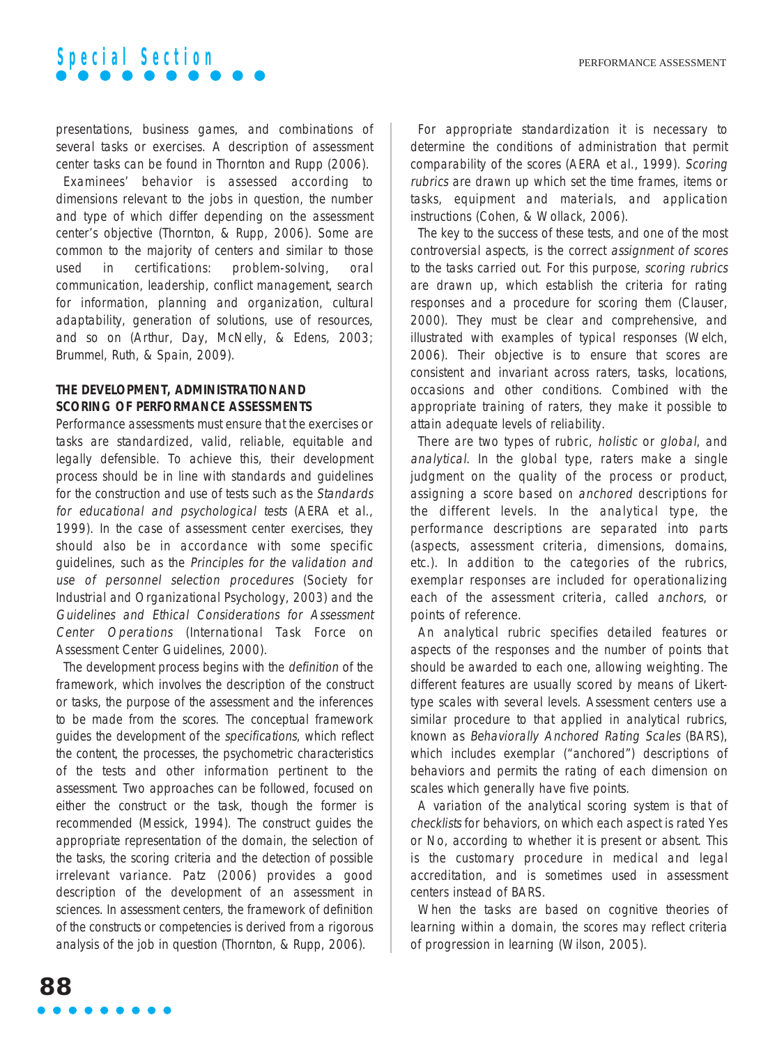

presentations, business games, and combinations of several tasks or exercises. A description of assessment center tasks can be found in Thornton and Rupp (2006).

Examinees' behavior is assessed according to dimensions relevant to the jobs in question, the number and type of which differ depending on the assessment center's objective (Thornton, & Rupp, 2006). Some are common to the majority of centers and similar to those used in certifications: problem-solving, oral communication, leadership, conflict management, search for information, planning and organization, cultural adaptability, generation of solutions, use of resources, and so on (Arthur, Day, McNelly, & Edens, 2003; Brummel, Ruth, & Spain, 2009).

#### **THE DEVELOPMENT, ADMINISTRATIONAND SCORING OF PERFORMANCE ASSESSMENTS**

Performance assessments must ensure that the exercises or tasks are standardized, valid, reliable, equitable and legally defensible. To achieve this, their development process should be in line with standards and guidelines for the construction and use of tests such as the Standards for educational and psychological tests (AERA et al., 1999). In the case of assessment center exercises, they should also be in accordance with some specific guidelines, such as the Principles for the validation and use of personnel selection procedures (Society for Industrial and Organizational Psychology, 2003) and the Guidelines and Ethical Considerations for Assessment Center Operations (International Task Force on Assessment Center Guidelines, 2000).

The development process begins with the definition of the framework, which involves the description of the construct or tasks, the purpose of the assessment and the inferences to be made from the scores. The conceptual framework guides the development of the specifications, which reflect the content, the processes, the psychometric characteristics of the tests and other information pertinent to the assessment. Two approaches can be followed, focused on either the construct or the task, though the former is recommended (Messick, 1994). The construct guides the appropriate representation of the domain, the selection of the tasks, the scoring criteria and the detection of possible irrelevant variance. Patz (2006) provides a good description of the development of an assessment in sciences. In assessment centers, the framework of definition of the constructs or competencies is derived from a rigorous analysis of the job in question (Thornton, & Rupp, 2006).

For appropriate standardization it is necessary to determine the conditions of administration that permit comparability of the scores (AERA et al., 1999). Scoring rubrics are drawn up which set the time frames, items or tasks, equipment and materials, and application instructions (Cohen, & Wollack, 2006).

The key to the success of these tests, and one of the most controversial aspects, is the correct assignment of scores to the tasks carried out. For this purpose, scoring rubrics are drawn up, which establish the criteria for rating responses and a procedure for scoring them (Clauser, 2000). They must be clear and comprehensive, and illustrated with examples of typical responses (Welch, 2006). Their objective is to ensure that scores are consistent and invariant across raters, tasks, locations, occasions and other conditions. Combined with the appropriate training of raters, they make it possible to attain adequate levels of reliability.

There are two types of rubric, holistic or global, and analytical. In the global type, raters make a single judgment on the quality of the process or product, assigning a score based on anchored descriptions for the different levels. In the analytical type, the performance descriptions are separated into parts (aspects, assessment criteria, dimensions, domains, etc.). In addition to the categories of the rubrics, exemplar responses are included for operationalizing each of the assessment criteria, called anchors, or points of reference.

An analytical rubric specifies detailed features or aspects of the responses and the number of points that should be awarded to each one, allowing weighting. The different features are usually scored by means of Likerttype scales with several levels. Assessment centers use a similar procedure to that applied in analytical rubrics, known as Behaviorally Anchored Rating Scales (BARS), which includes exemplar ("anchored") descriptions of behaviors and permits the rating of each dimension on scales which generally have five points.

A variation of the analytical scoring system is that of checklists for behaviors, on which each aspect is rated Yes or No, according to whether it is present or absent. This is the customary procedure in medical and legal accreditation, and is sometimes used in assessment centers instead of BARS.

When the tasks are based on cognitive theories of learning within a domain, the scores may reflect criteria of progression in learning (Wilson, 2005).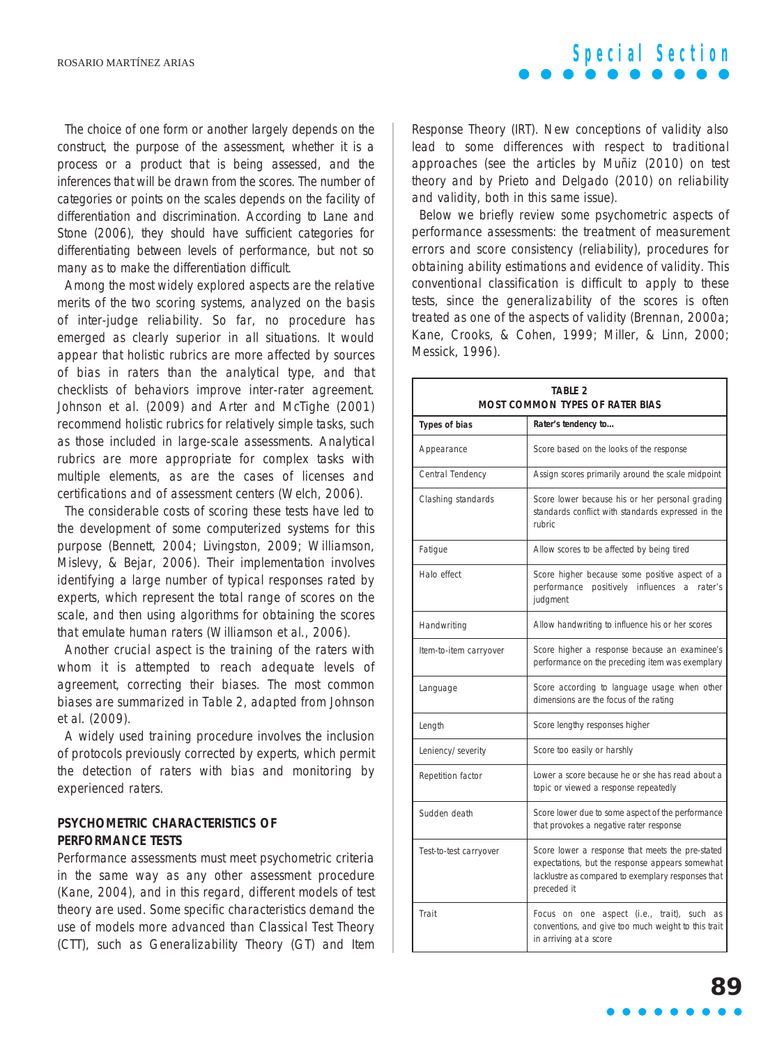The choice of one form or another largely depends on the construct, the purpose of the assessment, whether it is a process or a product that is being assessed, and the inferences that will be drawn from the scores. The number of categories or points on the scales depends on the facility of differentiation and discrimination. According to Lane and Stone (2006), they should have sufficient categories for differentiating between levels of performance, but not so many as to make the differentiation difficult.

Among the most widely explored aspects are the relative merits of the two scoring systems, analyzed on the basis of inter-judge reliability. So far, no procedure has emerged as clearly superior in all situations. It would appear that holistic rubrics are more affected by sources of bias in raters than the analytical type, and that checklists of behaviors improve inter-rater agreement. Johnson et al. (2009) and Arter and McTighe (2001) recommend holistic rubrics for relatively simple tasks, such as those included in large-scale assessments. Analytical rubrics are more appropriate for complex tasks with multiple elements, as are the cases of licenses and certifications and of assessment centers (Welch, 2006).

The considerable costs of scoring these tests have led to the development of some computerized systems for this purpose (Bennett, 2004; Livingston, 2009; Williamson, Mislevy, & Bejar, 2006). Their implementation involves identifying a large number of typical responses rated by experts, which represent the total range of scores on the scale, and then using algorithms for obtaining the scores that emulate human raters (Williamson et al., 2006).

Another crucial aspect is the training of the raters with whom it is attempted to reach adequate levels of agreement, correcting their biases. The most common biases are summarized in Table 2, adapted from Johnson et al. (2009).

A widely used training procedure involves the inclusion of protocols previously corrected by experts, which permit the detection of raters with bias and monitoring by experienced raters.

#### **PSYCHOMETRIC CHARACTERISTICS OF PERFORMANCE TESTS**

Performance assessments must meet psychometric criteria in the same way as any other assessment procedure (Kane, 2004), and in this regard, different models of test theory are used. Some specific characteristics demand the use of models more advanced than Classical Test Theory (CTT), such as Generalizability Theory (GT) and Item

Response Theory (IRT). New conceptions of validity also lead to some differences with respect to traditional approaches (see the articles by Muñiz (2010) on test theory and by Prieto and Delgado (2010) on reliability and validity, both in this same issue).

Below we briefly review some psychometric aspects of performance assessments: the treatment of measurement errors and score consistency (reliability), procedures for obtaining ability estimations and evidence of validity. This conventional classification is difficult to apply to these tests, since the generalizability of the scores is often treated as one of the aspects of validity (Brennan, 2000a; Kane, Crooks, & Cohen, 1999; Miller, & Linn, 2000; Messick, 1996).

| <b>TABLE 2</b><br><b>MOST COMMON TYPES OF RATER BIAS</b> |                                                                                                                                                                          |  |  |  |  |
|----------------------------------------------------------|--------------------------------------------------------------------------------------------------------------------------------------------------------------------------|--|--|--|--|
| Types of bias                                            | Rater's tendency to                                                                                                                                                      |  |  |  |  |
| Appearance                                               | Score based on the looks of the response                                                                                                                                 |  |  |  |  |
| Central Tendency                                         | Assign scores primarily around the scale midpoint                                                                                                                        |  |  |  |  |
| Clashing standards                                       | Score lower because his or her personal grading<br>standards conflict with standards expressed in the<br><b>rubric</b>                                                   |  |  |  |  |
| Fatique                                                  | Allow scores to be affected by being tired                                                                                                                               |  |  |  |  |
| Halo effect                                              | Score higher because some positive aspect of a<br>performance positively influences<br>rater's<br>a<br>judgment                                                          |  |  |  |  |
| Handwriting                                              | Allow handwriting to influence his or her scores                                                                                                                         |  |  |  |  |
| Item-to-item carryover                                   | Score higher a response because an examinee's<br>performance on the preceding item was exemplary                                                                         |  |  |  |  |
| Language                                                 | Score according to language usage when other<br>dimensions are the focus of the rating                                                                                   |  |  |  |  |
| Length                                                   | Score lengthy responses higher                                                                                                                                           |  |  |  |  |
| Leniency/severity                                        | Score too easily or harshly                                                                                                                                              |  |  |  |  |
| Repetition factor                                        | Lower a score because he or she has read about a<br>topic or viewed a response repeatedly                                                                                |  |  |  |  |
| Sudden death                                             | Score lower due to some aspect of the performance<br>that provokes a negative rater response                                                                             |  |  |  |  |
| Test-to-test carryover                                   | Score lower a response that meets the pre-stated<br>expectations, but the response appears somewhat<br>lacklustre as compared to exemplary responses that<br>preceded it |  |  |  |  |
| Trait                                                    | Focus on one aspect (i.e., trait),<br>such<br><b>as</b><br>conventions, and give too much weight to this trait<br>in arriving at a score                                 |  |  |  |  |

### **Special Section**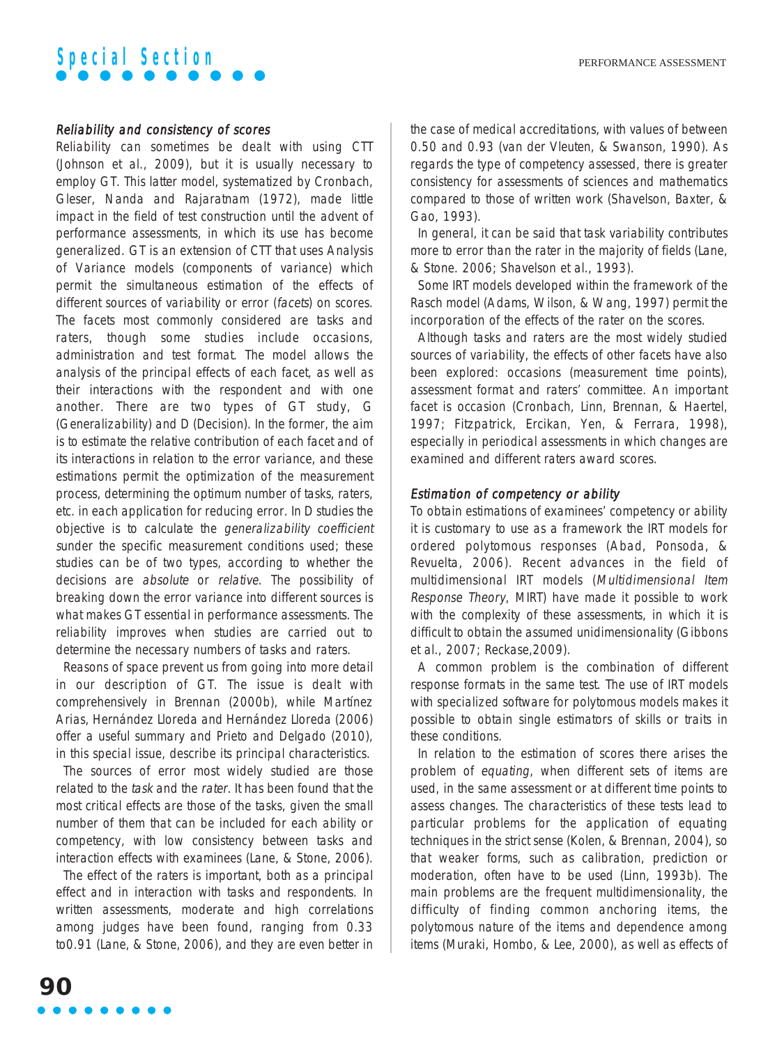#### Reliability and consistency of scores

Reliability can sometimes be dealt with using CTT (Johnson et al., 2009), but it is usually necessary to employ GT. This latter model, systematized by Cronbach, Gleser, Nanda and Rajaratnam (1972), made little impact in the field of test construction until the advent of performance assessments, in which its use has become generalized. GT is an extension of CTT that uses Analysis of Variance models (components of variance) which permit the simultaneous estimation of the effects of different sources of variability or error (facets) on scores. The facets most commonly considered are tasks and raters, though some studies include occasions, administration and test format. The model allows the analysis of the principal effects of each facet, as well as their interactions with the respondent and with one another. There are two types of GT study, G (Generalizability) and D (Decision). In the former, the aim is to estimate the relative contribution of each facet and of its interactions in relation to the error variance, and these estimations permit the optimization of the measurement process, determining the optimum number of tasks, raters, etc. in each application for reducing error. In D studies the objective is to calculate the generalizability coefficient <sup>s</sup>under the specific measurement conditions used; these studies can be of two types, according to whether the decisions are absolute or relative. The possibility of breaking down the error variance into different sources is what makes GT essential in performance assessments. The reliability improves when studies are carried out to determine the necessary numbers of tasks and raters.

Reasons of space prevent us from going into more detail in our description of GT. The issue is dealt with comprehensively in Brennan (2000b), while Martínez Arias, Hernández Lloreda and Hernández Lloreda (2006) offer a useful summary and Prieto and Delgado (2010), in this special issue, describe its principal characteristics.

The sources of error most widely studied are those related to the task and the rater. It has been found that the most critical effects are those of the tasks, given the small number of them that can be included for each ability or competency, with low consistency between tasks and interaction effects with examinees (Lane, & Stone, 2006).

The effect of the raters is important, both as a principal effect and in interaction with tasks and respondents. In written assessments, moderate and high correlations among judges have been found, ranging from 0.33 to0.91 (Lane, & Stone, 2006), and they are even better in the case of medical accreditations, with values of between 0.50 and 0.93 (van der Vleuten, & Swanson, 1990). As regards the type of competency assessed, there is greater consistency for assessments of sciences and mathematics compared to those of written work (Shavelson, Baxter, & Gao, 1993).

In general, it can be said that task variability contributes more to error than the rater in the majority of fields (Lane, & Stone. 2006; Shavelson et al., 1993).

Some IRT models developed within the framework of the Rasch model (Adams, Wilson, & Wang, 1997) permit the incorporation of the effects of the rater on the scores.

Although tasks and raters are the most widely studied sources of variability, the effects of other facets have also been explored: occasions (measurement time points), assessment format and raters' committee. An important facet is occasion (Cronbach, Linn, Brennan, & Haertel, 1997; Fitzpatrick, Ercikan, Yen, & Ferrara, 1998), especially in periodical assessments in which changes are examined and different raters award scores.

#### Estimation of competency or ability

To obtain estimations of examinees' competency or ability it is customary to use as a framework the IRT models for ordered polytomous responses (Abad, Ponsoda, & Revuelta, 2006). Recent advances in the field of multidimensional IRT models (Multidimensional Item Response Theory, MIRT) have made it possible to work with the complexity of these assessments, in which it is difficult to obtain the assumed unidimensionality (Gibbons et al., 2007; Reckase,2009).

A common problem is the combination of different response formats in the same test. The use of IRT models with specialized software for polytomous models makes it possible to obtain single estimators of skills or traits in these conditions.

In relation to the estimation of scores there arises the problem of equating, when different sets of items are used, in the same assessment or at different time points to assess changes. The characteristics of these tests lead to particular problems for the application of equating techniques in the strict sense (Kolen, & Brennan, 2004), so that weaker forms, such as calibration, prediction or moderation, often have to be used (Linn, 1993b). The main problems are the frequent multidimensionality, the difficulty of finding common anchoring items, the polytomous nature of the items and dependence among items (Muraki, Hombo, & Lee, 2000), as well as effects of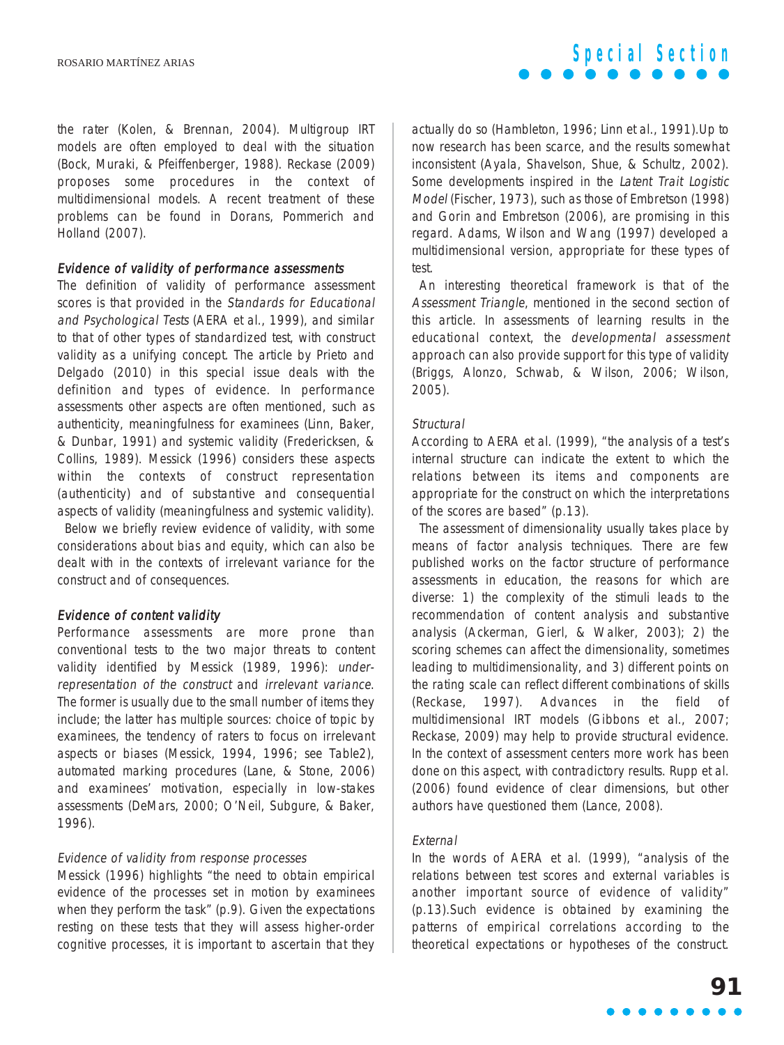the rater (Kolen, & Brennan, 2004). Multigroup IRT models are often employed to deal with the situation (Bock, Muraki, & Pfeiffenberger, 1988). Reckase (2009) proposes some procedures in the context of multidimensional models. A recent treatment of these problems can be found in Dorans, Pommerich and Holland (2007).

#### Evidence of validity of performance assessments

The definition of validity of performance assessment scores is that provided in the Standards for Educational and Psychological Tests (AERA et al., 1999), and similar to that of other types of standardized test, with construct validity as a unifying concept. The article by Prieto and Delgado (2010) in this special issue deals with the definition and types of evidence. In performance assessments other aspects are often mentioned, such as authenticity, meaningfulness for examinees (Linn, Baker, & Dunbar, 1991) and systemic validity (Fredericksen, & Collins, 1989). Messick (1996) considers these aspects within the contexts of construct representation (authenticity) and of substantive and consequential aspects of validity (meaningfulness and systemic validity).

Below we briefly review evidence of validity, with some considerations about bias and equity, which can also be dealt with in the contexts of irrelevant variance for the construct and of consequences.

#### Evidence of content validity

Performance assessments are more prone than conventional tests to the two major threats to content validity identified by Messick (1989, 1996): underrepresentation of the construct and irrelevant variance. The former is usually due to the small number of items they include; the latter has multiple sources: choice of topic by examinees, the tendency of raters to focus on irrelevant aspects or biases (Messick, 1994, 1996; see Table2), automated marking procedures (Lane, & Stone, 2006) and examinees' motivation, especially in low-stakes assessments (DeMars, 2000; O'Neil, Subgure, & Baker, 1996).

#### Evidence of validity from response processes

Messick (1996) highlights "the need to obtain empirical evidence of the processes set in motion by examinees when they perform the task" (p.9). Given the expectations resting on these tests that they will assess higher-order cognitive processes, it is important to ascertain that they actually do so (Hambleton, 1996; Linn et al., 1991).Up to now research has been scarce, and the results somewhat inconsistent (Ayala, Shavelson, Shue, & Schultz, 2002). Some developments inspired in the Latent Trait Logistic Model (Fischer, 1973), such as those of Embretson (1998) and Gorin and Embretson (2006), are promising in this regard. Adams, Wilson and Wang (1997) developed a multidimensional version, appropriate for these types of test.

An interesting theoretical framework is that of the Assessment Triangle, mentioned in the second section of this article. In assessments of learning results in the educational context, the developmental assessment approach can also provide support for this type of validity (Briggs, Alonzo, Schwab, & Wilson, 2006; Wilson, 2005).

#### **Structural**

According to AERA et al. (1999), "the analysis of a test's internal structure can indicate the extent to which the relations between its items and components are appropriate for the construct on which the interpretations of the scores are based" (p.13).

The assessment of dimensionality usually takes place by means of factor analysis techniques. There are few published works on the factor structure of performance assessments in education, the reasons for which are diverse: 1) the complexity of the stimuli leads to the recommendation of content analysis and substantive analysis (Ackerman, Gierl, & Walker, 2003); 2) the scoring schemes can affect the dimensionality, sometimes leading to multidimensionality, and 3) different points on the rating scale can reflect different combinations of skills (Reckase, 1997). Advances in the field of multidimensional IRT models (Gibbons et al., 2007; Reckase, 2009) may help to provide structural evidence. In the context of assessment centers more work has been done on this aspect, with contradictory results. Rupp et al. (2006) found evidence of clear dimensions, but other authors have questioned them (Lance, 2008).

#### External

In the words of AERA et al. (1999), "analysis of the relations between test scores and external variables is another important source of evidence of validity" (p.13).Such evidence is obtained by examining the patterns of empirical correlations according to the theoretical expectations or hypotheses of the construct.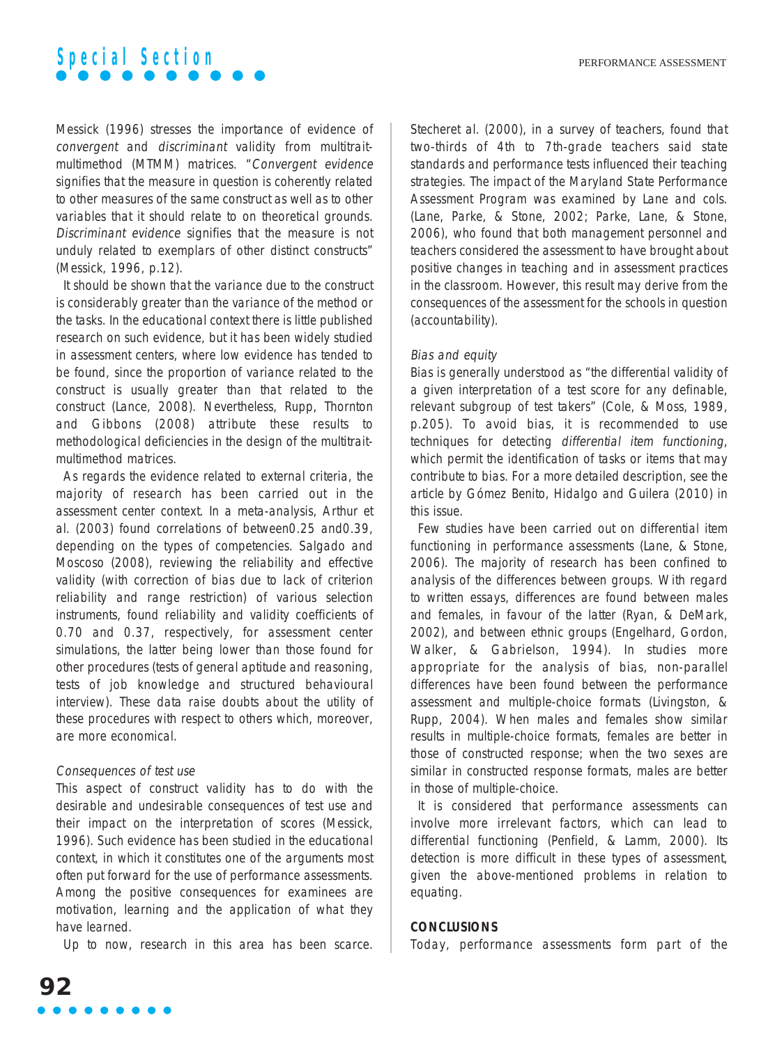Messick (1996) stresses the importance of evidence of convergent and discriminant validity from multitraitmultimethod (MTMM) matrices. "Convergent evidence signifies that the measure in question is coherently related to other measures of the same construct as well as to other variables that it should relate to on theoretical grounds. Discriminant evidence signifies that the measure is not unduly related to exemplars of other distinct constructs" (Messick, 1996, p.12).

It should be shown that the variance due to the construct is considerably greater than the variance of the method or the tasks. In the educational context there is little published research on such evidence, but it has been widely studied in assessment centers, where low evidence has tended to be found, since the proportion of variance related to the construct is usually greater than that related to the construct (Lance, 2008). Nevertheless, Rupp, Thornton and Gibbons (2008) attribute these results to methodological deficiencies in the design of the multitraitmultimethod matrices.

As regards the evidence related to external criteria, the majority of research has been carried out in the assessment center context. In a meta-analysis, Arthur et al. (2003) found correlations of between0.25 and0.39, depending on the types of competencies. Salgado and Moscoso (2008), reviewing the reliability and effective validity (with correction of bias due to lack of criterion reliability and range restriction) of various selection instruments, found reliability and validity coefficients of 0.70 and 0.37, respectively, for assessment center simulations, the latter being lower than those found for other procedures (tests of general aptitude and reasoning, tests of job knowledge and structured behavioural interview). These data raise doubts about the utility of these procedures with respect to others which, moreover, are more economical.

#### Consequences of test use

This aspect of construct validity has to do with the desirable and undesirable consequences of test use and their impact on the interpretation of scores (Messick, 1996). Such evidence has been studied in the educational context, in which it constitutes one of the arguments most often put forward for the use of performance assessments. Among the positive consequences for examinees are motivation, learning and the application of what they have learned.

Up to now, research in this area has been scarce.

Stecheret al. (2000), in a survey of teachers, found that two-thirds of 4th to 7th-grade teachers said state standards and performance tests influenced their teaching strategies. The impact of the Maryland State Performance Assessment Program was examined by Lane and cols. (Lane, Parke, & Stone, 2002; Parke, Lane, & Stone, 2006), who found that both management personnel and teachers considered the assessment to have brought about positive changes in teaching and in assessment practices in the classroom. However, this result may derive from the consequences of the assessment for the schools in question (accountability).

#### Bias and equity

Bias is generally understood as "the differential validity of a given interpretation of a test score for any definable, relevant subgroup of test takers" (Cole, & Moss, 1989, p.205). To avoid bias, it is recommended to use techniques for detecting differential item functioning, which permit the identification of tasks or items that may contribute to bias. For a more detailed description, see the article by Gómez Benito, Hidalgo and Guilera (2010) in this issue.

Few studies have been carried out on differential item functioning in performance assessments (Lane, & Stone, 2006). The majority of research has been confined to analysis of the differences between groups. With regard to written essays, differences are found between males and females, in favour of the latter (Ryan, & DeMark, 2002), and between ethnic groups (Engelhard, Gordon, Walker, & Gabrielson, 1994). In studies more appropriate for the analysis of bias, non-parallel differences have been found between the performance assessment and multiple-choice formats (Livingston, & Rupp, 2004). When males and females show similar results in multiple-choice formats, females are better in those of constructed response; when the two sexes are similar in constructed response formats, males are better in those of multiple-choice.

It is considered that performance assessments can involve more irrelevant factors, which can lead to differential functioning (Penfield, & Lamm, 2000). Its detection is more difficult in these types of assessment, given the above-mentioned problems in relation to equating.

#### **CONCLUSIONS**

Today, performance assessments form part of the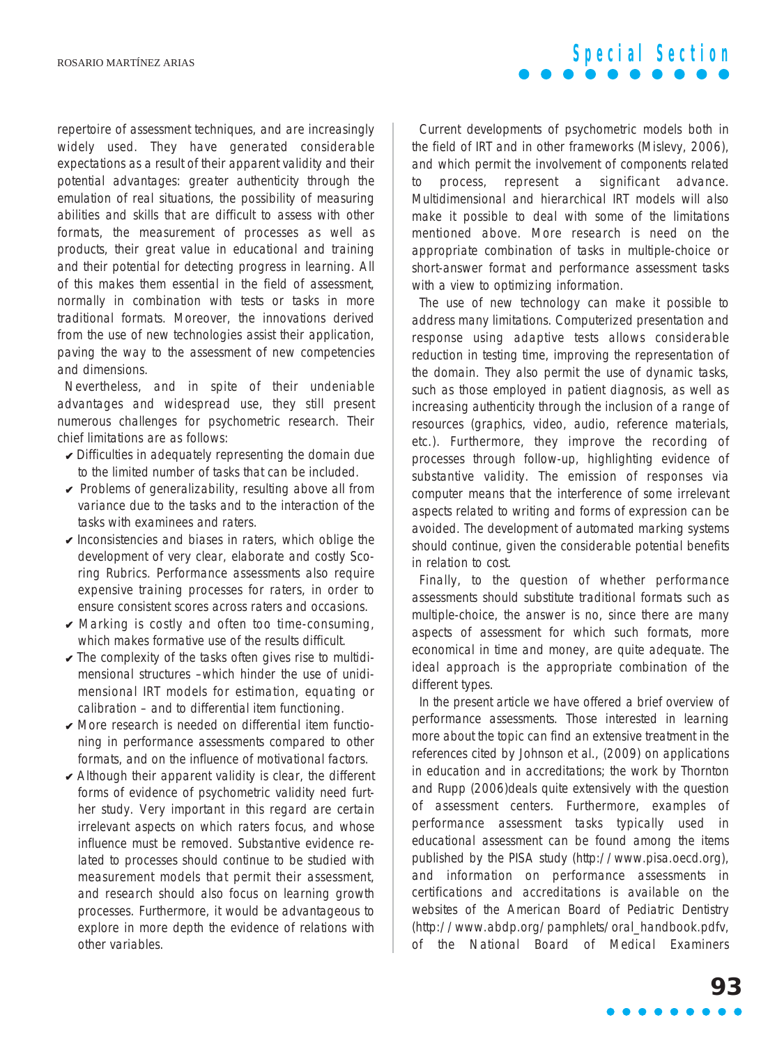repertoire of assessment techniques, and are increasingly widely used. They have generated considerable expectations as a result of their apparent validity and their potential advantages: greater authenticity through the emulation of real situations, the possibility of measuring abilities and skills that are difficult to assess with other formats, the measurement of processes as well as products, their great value in educational and training and their potential for detecting progress in learning. All of this makes them essential in the field of assessment, normally in combination with tests or tasks in more traditional formats. Moreover, the innovations derived from the use of new technologies assist their application, paving the way to the assessment of new competencies and dimensions.

Nevertheless, and in spite of their undeniable advantages and widespread use, they still present numerous challenges for psychometric research. Their chief limitations are as follows:

- $\triangleright$  Difficulties in adequately representing the domain due to the limited number of tasks that can be included.
- $\vee$  Problems of generalizability, resulting above all from variance due to the tasks and to the interaction of the tasks with examinees and raters.
- $\vee$  Inconsistencies and biases in raters, which oblige the development of very clear, elaborate and costly Scoring Rubrics. Performance assessments also require expensive training processes for raters, in order to ensure consistent scores across raters and occasions.
- $\vee$  Marking is costly and often too time-consuming, which makes formative use of the results difficult.
- $\vee$  The complexity of the tasks often gives rise to multidimensional structures –which hinder the use of unidimensional IRT models for estimation, equating or calibration – and to differential item functioning.
- $\vee$  More research is needed on differential item functioning in performance assessments compared to other formats, and on the influence of motivational factors.
- $\vee$  Although their apparent validity is clear, the different forms of evidence of psychometric validity need further study. Very important in this regard are certain irrelevant aspects on which raters focus, and whose influence must be removed. Substantive evidence related to processes should continue to be studied with measurement models that permit their assessment, and research should also focus on learning growth processes. Furthermore, it would be advantageous to explore in more depth the evidence of relations with other variables.

Current developments of psychometric models both in the field of IRT and in other frameworks (Mislevy, 2006), and which permit the involvement of components related to process, represent a significant advance. Multidimensional and hierarchical IRT models will also make it possible to deal with some of the limitations mentioned above. More research is need on the appropriate combination of tasks in multiple-choice or short-answer format and performance assessment tasks with a view to optimizing information.

**Special Section**

The use of new technology can make it possible to address many limitations. Computerized presentation and response using adaptive tests allows considerable reduction in testing time, improving the representation of the domain. They also permit the use of dynamic tasks, such as those employed in patient diagnosis, as well as increasing authenticity through the inclusion of a range of resources (graphics, video, audio, reference materials, etc.). Furthermore, they improve the recording of processes through follow-up, highlighting evidence of substantive validity. The emission of responses via computer means that the interference of some irrelevant aspects related to writing and forms of expression can be avoided. The development of automated marking systems should continue, given the considerable potential benefits in relation to cost.

Finally, to the question of whether performance assessments should substitute traditional formats such as multiple-choice, the answer is no, since there are many aspects of assessment for which such formats, more economical in time and money, are quite adequate. The ideal approach is the appropriate combination of the different types.

In the present article we have offered a brief overview of performance assessments. Those interested in learning more about the topic can find an extensive treatment in the references cited by Johnson et al., (2009) on applications in education and in accreditations; the work by Thornton and Rupp (2006)deals quite extensively with the question of assessment centers. Furthermore, examples of performance assessment tasks typically used in educational assessment can be found among the items published by the PISA study (http://www.pisa.oecd.org), and information on performance assessments in certifications and accreditations is available on the websites of the American Board of Pediatric Dentistry (http://www.abdp.org/pamphlets/oral\_handbook.pdfv, of the National Board of Medical Examiners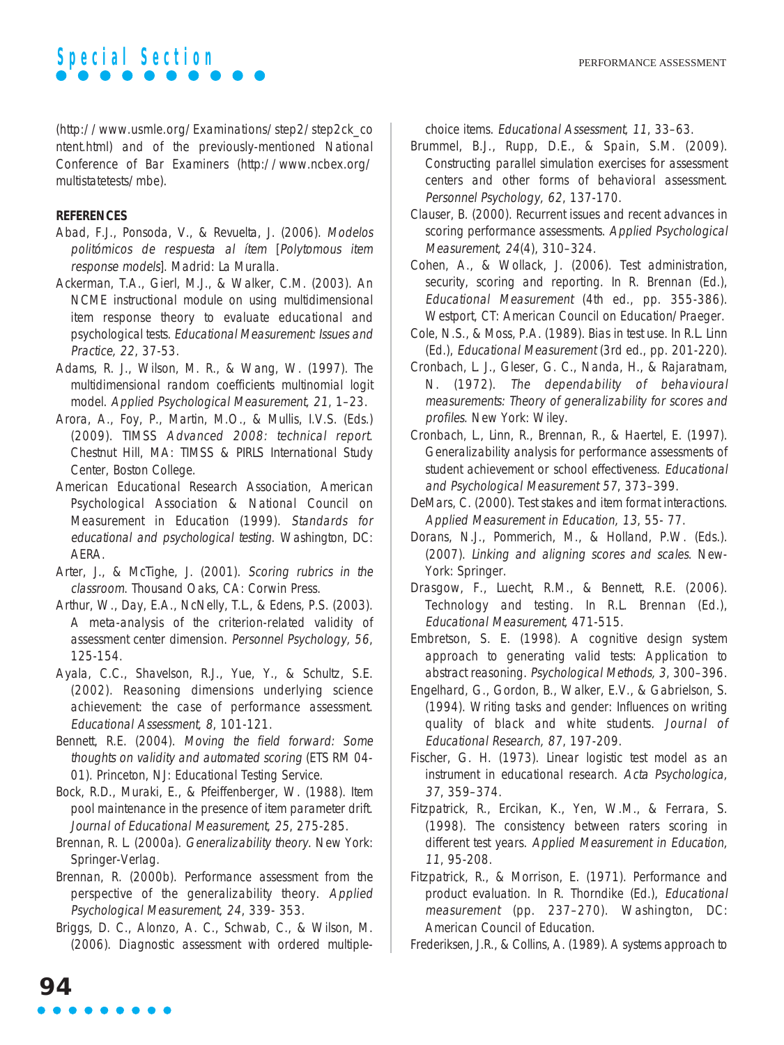

(http://www.usmle.org/Examinations/step2/step2ck\_co ntent.html) and of the previously-mentioned National Conference of Bar Examiners (http://www.ncbex.org/ multistatetests/mbe).

#### **REFERENCES**

- Abad, F.J., Ponsoda, V., & Revuelta, J. (2006). Modelos politómicos de respuesta al ítem [Polytomous item response models]. Madrid: La Muralla.
- Ackerman, T.A., Gierl, M.J., & Walker, C.M. (2003). An NCME instructional module on using multidimensional item response theory to evaluate educational and psychological tests. Educational Measurement: Issues and Practice, 22, 37-53.
- Adams, R. J., Wilson, M. R., & Wang, W. (1997). The multidimensional random coefficients multinomial logit model. Applied Psychological Measurement, 21, 1–23.
- Arora, A., Foy, P., Martin, M.O., & Mullis, I.V.S. (Eds.) (2009). TIMSS Advanced 2008: technical report. Chestnut Hill, MA: TIMSS & PIRLS International Study Center, Boston College.
- American Educational Research Association, American Psychological Association & National Council on Measurement in Education (1999). Standards for educational and psychological testing. Washington, DC: AERA.
- Arter, J., & McTighe, J. (2001). Scoring rubrics in the classroom. Thousand Oaks, CA: Corwin Press.
- Arthur, W., Day, E.A., NcNelly, T.L., & Edens, P.S. (2003). A meta-analysis of the criterion-related validity of assessment center dimension. Personnel Psychology, 56, 125-154.
- Ayala, C.C., Shavelson, R.J., Yue, Y., & Schultz, S.E. (2002). Reasoning dimensions underlying science achievement: the case of performance assessment. Educational Assessment, 8, 101-121.
- Bennett, R.E. (2004). Moving the field forward: Some thoughts on validity and automated scoring (ETS RM 04- 01). Princeton, NJ: Educational Testing Service.
- Bock, R.D., Muraki, E., & Pfeiffenberger, W. (1988). Item pool maintenance in the presence of item parameter drift. Journal of Educational Measurement, 25, 275-285.
- Brennan, R. L. (2000a). Generalizability theory. New York: Springer-Verlag.
- Brennan, R. (2000b). Performance assessment from the perspective of the generalizability theory. Applied Psychological Measurement, 24, 339- 353.
- Briggs, D. C., Alonzo, A. C., Schwab, C., & Wilson, M. (2006). Diagnostic assessment with ordered multiple-

choice items. Educational Assessment, 11, 33–63.

- Brummel, B.J., Rupp, D.E., & Spain, S.M. (2009). Constructing parallel simulation exercises for assessment centers and other forms of behavioral assessment. Personnel Psychology, 62, 137-170.
- Clauser, B. (2000). Recurrent issues and recent advances in scoring performance assessments. Applied Psychological Measurement, 24(4), 310–324.
- Cohen, A., & Wollack, J. (2006). Test administration, security, scoring and reporting. In R. Brennan (Ed.), Educational Measurement (4th ed., pp. 355-386). Westport, CT: American Council on Education/Praeger.
- Cole, N.S., & Moss, P.A. (1989). Bias in test use. In R.L. Linn (Ed.), Educational Measurement (3rd ed., pp. 201-220).
- Cronbach, L. J., Gleser, G. C., Nanda, H., & Rajaratnam, N. (1972). The dependability of behavioural measurements: Theory of generalizability for scores and profiles. New York: Wiley.
- Cronbach, L., Linn, R., Brennan, R., & Haertel, E. (1997). Generalizability analysis for performance assessments of student achievement or school effectiveness. Educational and Psychological Measurement 57, 373–399.
- DeMars, C. (2000). Test stakes and item format interactions. Applied Measurement in Education, 13, 55- 77.
- Dorans, N.J., Pommerich, M., & Holland, P.W. (Eds.). (2007). Linking and aligning scores and scales. New-York: Springer.
- Drasgow, F., Luecht, R.M., & Bennett, R.E. (2006). Technology and testing. In R.L. Brennan (Ed.), Educational Measurement, 471-515.
- Embretson, S. E. (1998). A cognitive design system approach to generating valid tests: Application to abstract reasoning. Psychological Methods, 3, 300–396.
- Engelhard, G., Gordon, B., Walker, E.V., & Gabrielson, S. (1994). Writing tasks and gender: Influences on writing quality of black and white students. Journal of Educational Research, 87, 197-209.
- Fischer, G. H. (1973). Linear logistic test model as an instrument in educational research. Acta Psychologica, 37, 359–374.
- Fitzpatrick, R., Ercikan, K., Yen, W.M., & Ferrara, S. (1998). The consistency between raters scoring in different test years. Applied Measurement in Education, <sup>11</sup>, 95-208.
- Fitzpatrick, R., & Morrison, E. (1971). Performance and product evaluation. In R. Thorndike (Ed.), Educational measurement (pp. 237-270). Washington, DC: American Council of Education.
- Frederiksen, J.R., & Collins, A. (1989). A systems approach to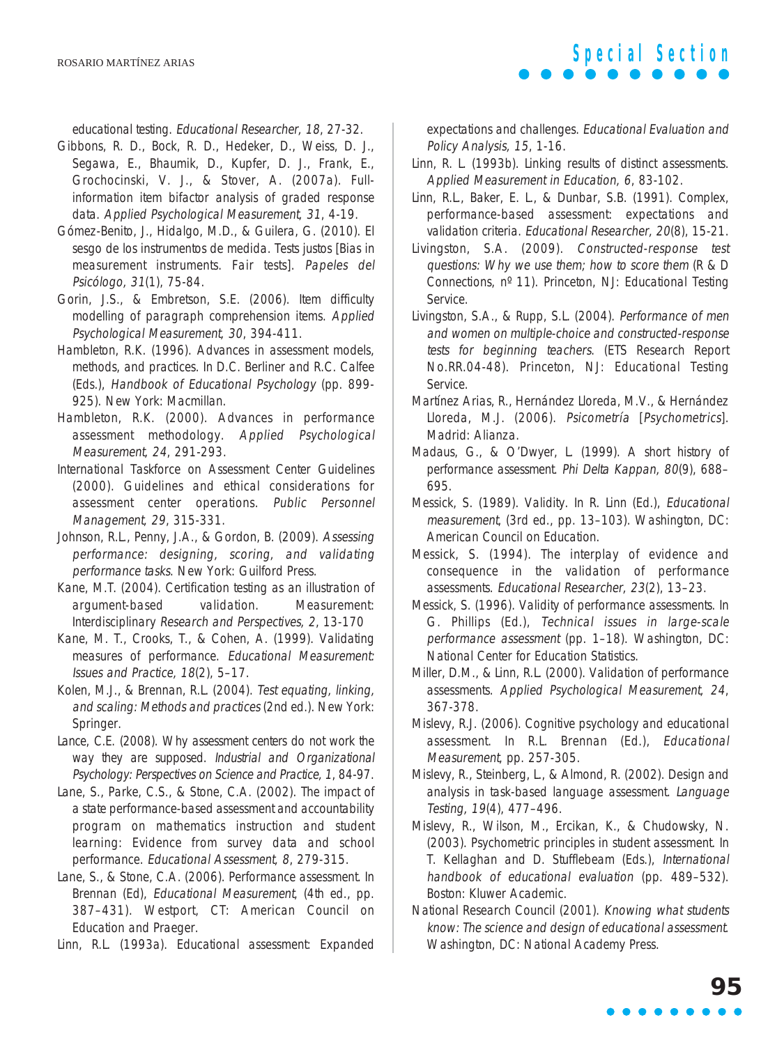educational testing. Educational Researcher, 18, 27-32.

- Gibbons, R. D., Bock, R. D., Hedeker, D., Weiss, D. J., Segawa, E., Bhaumik, D., Kupfer, D. J., Frank, E., Grochocinski, V. J., & Stover, A. (2007a). Fullinformation item bifactor analysis of graded response data. Applied Psychological Measurement, 31, 4-19.
- Gómez-Benito, J., Hidalgo, M.D., & Guilera, G. (2010). El sesgo de los instrumentos de medida. Tests justos [Bias in measurement instruments. Fair tests]. Papeles del Psicólogo, 31(1), 75-84.
- Gorin, J.S., & Embretson, S.E. (2006). Item difficulty modelling of paragraph comprehension items. Applied Psychological Measurement, 30, 394-411.
- Hambleton, R.K. (1996). Advances in assessment models, methods, and practices. In D.C. Berliner and R.C. Calfee (Eds.), Handbook of Educational Psychology (pp. 899- 925). New York: Macmillan.
- Hambleton, R.K. (2000). Advances in performance assessment methodology. Applied Psychological Measurement, 24, 291-293.
- International Taskforce on Assessment Center Guidelines (2000). Guidelines and ethical considerations for assessment center operations. Public Personnel Management, 29, 315-331.
- Johnson, R.L., Penny, J.A., & Gordon, B. (2009). Assessing performance: designing, scoring, and validating performance tasks. New York: Guilford Press.
- Kane, M.T. (2004). Certification testing as an illustration of argument-based validation. Measurement: Interdisciplinary Research and Perspectives, 2, 13-170
- Kane, M. T., Crooks, T., & Cohen, A. (1999). Validating measures of performance. Educational Measurement: Issues and Practice, 18(2), 5–17.
- Kolen, M.J., & Brennan, R.L. (2004). Test equating, linking, and scaling: Methods and practices (2nd ed.). New York: Springer.
- Lance, C.E. (2008). Why assessment centers do not work the way they are supposed. Industrial and Organizational Psychology: Perspectives on Science and Practice, 1, 84-97.
- Lane, S., Parke, C.S., & Stone, C.A. (2002). The impact of a state performance-based assessment and accountability program on mathematics instruction and student learning: Evidence from survey data and school performance. Educational Assessment, 8, 279-315.
- Lane, S., & Stone, C.A. (2006). Performance assessment. In Brennan (Ed), Educational Measurement, (4th ed., pp. 387–431). Westport, CT: American Council on Education and Praeger.

Linn, R.L. (1993a). Educational assessment: Expanded

expectations and challenges. Educational Evaluation and Policy Analysis, 15, 1-16.

- Linn, R. L. (1993b). Linking results of distinct assessments. Applied Measurement in Education, 6, 83-102.
- Linn, R.L., Baker, E. L., & Dunbar, S.B. (1991). Complex, performance-based assessment: expectations and validation criteria. Educational Researcher, 20(8), 15-21.
- Livingston, S.A. (2009). Constructed-response test questions: Why we use them; how to score them (R & D Connections, nº 11). Princeton, NJ: Educational Testing Service.
- Livingston, S.A., & Rupp, S.L. (2004). Performance of men and women on multiple-choice and constructed-response tests for beginning teachers. (ETS Research Report No.RR.04-48). Princeton, NJ: Educational Testing Service.
- Martínez Arias, R., Hernández Lloreda, M.V., & Hernández Lloreda, M.J. (2006). Psicometría [Psychometrics]. Madrid: Alianza.
- Madaus, G., & O'Dwyer, L. (1999). A short history of performance assessment. Phi Delta Kappan, 80(9), 688– 695.
- Messick, S. (1989). Validity. In R. Linn (Ed.), Educational measurement, (3rd ed., pp. 13–103). Washington, DC: American Council on Education.
- Messick, S. (1994). The interplay of evidence and consequence in the validation of performance assessments. Educational Researcher, 23(2), 13–23.
- Messick, S. (1996). Validity of performance assessments. In G. Phillips (Ed.), Technical issues in large-scale performance assessment (pp. 1–18). Washington, DC: National Center for Education Statistics.
- Miller, D.M., & Linn, R.L. (2000). Validation of performance assessments. Applied Psychological Measurement, 24, 367-378.
- Mislevy, R.J. (2006). Cognitive psychology and educational assessment. In R.L. Brennan (Ed.), Educational Measurement, pp. 257-305.
- Mislevy, R., Steinberg, L., & Almond, R. (2002). Design and analysis in task-based language assessment. Language Testing, 19(4), 477–496.
- Mislevy, R., Wilson, M., Ercikan, K., & Chudowsky, N. (2003). Psychometric principles in student assessment. In T. Kellaghan and D. Stufflebeam (Eds.), International handbook of educational evaluation (pp. 489–532). Boston: Kluwer Academic.
- National Research Council (2001). Knowing what students know: The science and design of educational assessment. Washington, DC: National Academy Press.